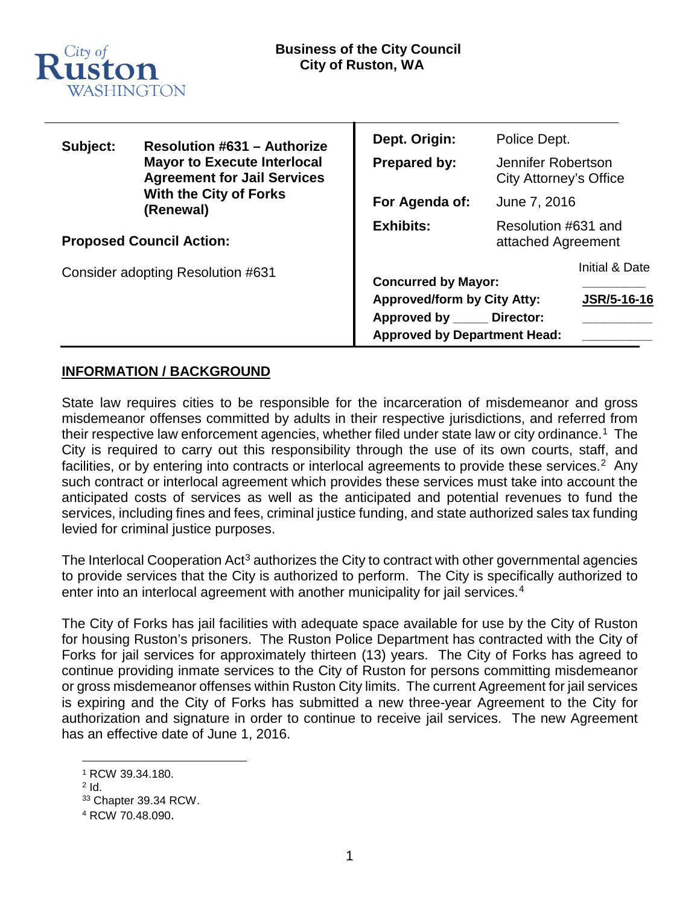

| Subject:                          | <b>Resolution #631 - Authorize</b><br><b>Mayor to Execute Interlocal</b><br><b>Agreement for Jail Services</b><br><b>With the City of Forks</b><br>(Renewal) | Dept. Origin:                                                                                            | Police Dept.                                 |                    |
|-----------------------------------|--------------------------------------------------------------------------------------------------------------------------------------------------------------|----------------------------------------------------------------------------------------------------------|----------------------------------------------|--------------------|
|                                   |                                                                                                                                                              | Prepared by:                                                                                             | Jennifer Robertson<br>City Attorney's Office |                    |
|                                   |                                                                                                                                                              | For Agenda of:                                                                                           | June 7, 2016                                 |                    |
| <b>Proposed Council Action:</b>   |                                                                                                                                                              | <b>Exhibits:</b>                                                                                         | Resolution #631 and<br>attached Agreement    |                    |
| Consider adopting Resolution #631 |                                                                                                                                                              | <b>Concurred by Mayor:</b>                                                                               |                                              | Initial & Date     |
|                                   |                                                                                                                                                              | <b>Approved/form by City Atty:</b><br>Approved by _____ Director:<br><b>Approved by Department Head:</b> |                                              | <b>JSR/5-16-16</b> |

# **INFORMATION / BACKGROUND**

State law requires cities to be responsible for the incarceration of misdemeanor and gross misdemeanor offenses committed by adults in their respective jurisdictions, and referred from their respective law enforcement agencies, whether filed under state law or city ordinance. [1](#page-0-0) The City is required to carry out this responsibility through the use of its own courts, staff, and facilities, or by entering into contracts or interlocal agreements to provide these services.<sup>[2](#page-0-1)</sup> Any such contract or interlocal agreement which provides these services must take into account the anticipated costs of services as well as the anticipated and potential revenues to fund the services, including fines and fees, criminal justice funding, and state authorized sales tax funding levied for criminal justice purposes.

The Interlocal Cooperation Act<sup>[3](#page-0-2)</sup> authorizes the City to contract with other governmental agencies to provide services that the City is authorized to perform. The City is specifically authorized to enter into an interlocal agreement with another municipality for jail services.<sup>4</sup>

The City of Forks has jail facilities with adequate space available for use by the City of Ruston for housing Ruston's prisoners. The Ruston Police Department has contracted with the City of Forks for jail services for approximately thirteen (13) years. The City of Forks has agreed to continue providing inmate services to the City of Ruston for persons committing misdemeanor or gross misdemeanor offenses within Ruston City limits. The current Agreement for jail services is expiring and the City of Forks has submitted a new three-year Agreement to the City for authorization and signature in order to continue to receive jail services. The new Agreement has an effective date of June 1, 2016.

<span id="page-0-0"></span> <sup>1</sup> RCW 39.34.180.

<span id="page-0-1"></span> $2$  Id.

<span id="page-0-2"></span><sup>33</sup> Chapter 39.34 RCW.

<span id="page-0-3"></span><sup>4</sup> RCW 70.48.090.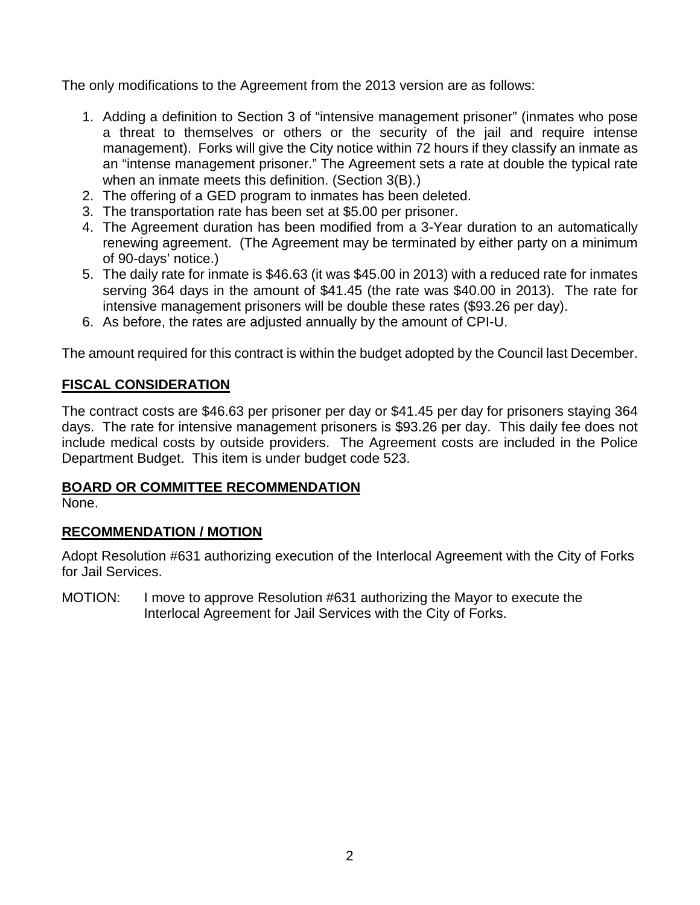The only modifications to the Agreement from the 2013 version are as follows:

- 1. Adding a definition to Section 3 of "intensive management prisoner" (inmates who pose a threat to themselves or others or the security of the jail and require intense management). Forks will give the City notice within 72 hours if they classify an inmate as an "intense management prisoner." The Agreement sets a rate at double the typical rate when an inmate meets this definition. (Section 3(B).)
- 2. The offering of a GED program to inmates has been deleted.
- 3. The transportation rate has been set at \$5.00 per prisoner.
- 4. The Agreement duration has been modified from a 3-Year duration to an automatically renewing agreement. (The Agreement may be terminated by either party on a minimum of 90-days' notice.)
- 5. The daily rate for inmate is \$46.63 (it was \$45.00 in 2013) with a reduced rate for inmates serving 364 days in the amount of \$41.45 (the rate was \$40.00 in 2013). The rate for intensive management prisoners will be double these rates (\$93.26 per day).
- 6. As before, the rates are adjusted annually by the amount of CPI-U.

The amount required for this contract is within the budget adopted by the Council last December.

# **FISCAL CONSIDERATION**

The contract costs are \$46.63 per prisoner per day or \$41.45 per day for prisoners staying 364 days. The rate for intensive management prisoners is \$93.26 per day. This daily fee does not include medical costs by outside providers. The Agreement costs are included in the Police Department Budget. This item is under budget code 523.

# **BOARD OR COMMITTEE RECOMMENDATION**

None.

# **RECOMMENDATION / MOTION**

Adopt Resolution #631 authorizing execution of the Interlocal Agreement with the City of Forks for Jail Services.

MOTION: I move to approve Resolution #631 authorizing the Mayor to execute the Interlocal Agreement for Jail Services with the City of Forks.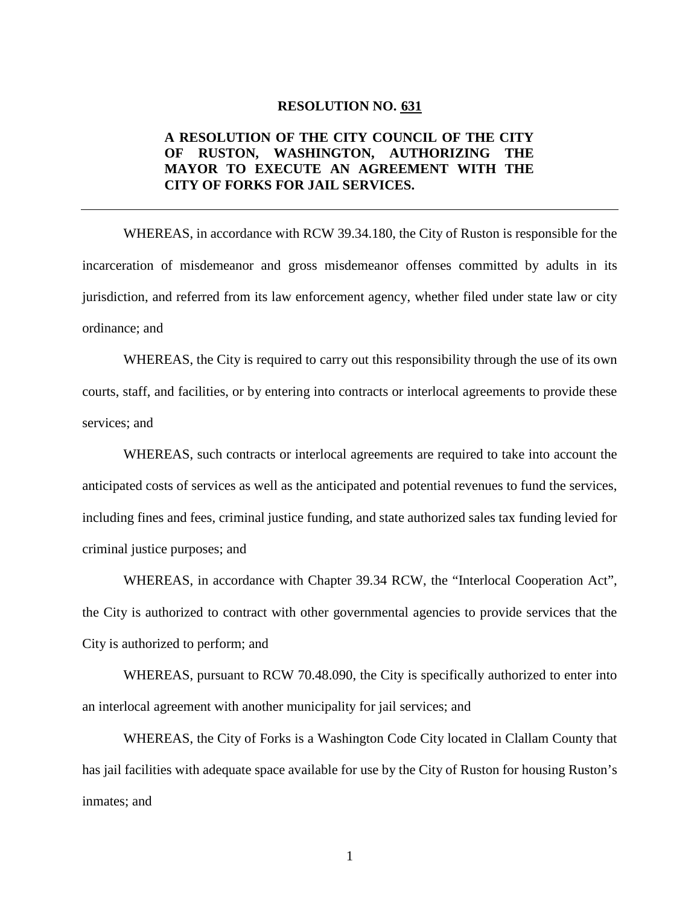### **RESOLUTION NO. 631**

### **A RESOLUTION OF THE CITY COUNCIL OF THE CITY OF RUSTON, WASHINGTON, AUTHORIZING THE MAYOR TO EXECUTE AN AGREEMENT WITH THE CITY OF FORKS FOR JAIL SERVICES.**

WHEREAS, in accordance with RCW 39.34.180, the City of Ruston is responsible for the incarceration of misdemeanor and gross misdemeanor offenses committed by adults in its jurisdiction, and referred from its law enforcement agency, whether filed under state law or city ordinance; and

WHEREAS, the City is required to carry out this responsibility through the use of its own courts, staff, and facilities, or by entering into contracts or interlocal agreements to provide these services; and

WHEREAS, such contracts or interlocal agreements are required to take into account the anticipated costs of services as well as the anticipated and potential revenues to fund the services, including fines and fees, criminal justice funding, and state authorized sales tax funding levied for criminal justice purposes; and

WHEREAS, in accordance with Chapter 39.34 RCW, the "Interlocal Cooperation Act", the City is authorized to contract with other governmental agencies to provide services that the City is authorized to perform; and

WHEREAS, pursuant to RCW 70.48.090, the City is specifically authorized to enter into an interlocal agreement with another municipality for jail services; and

WHEREAS, the City of Forks is a Washington Code City located in Clallam County that has jail facilities with adequate space available for use by the City of Ruston for housing Ruston's inmates; and

1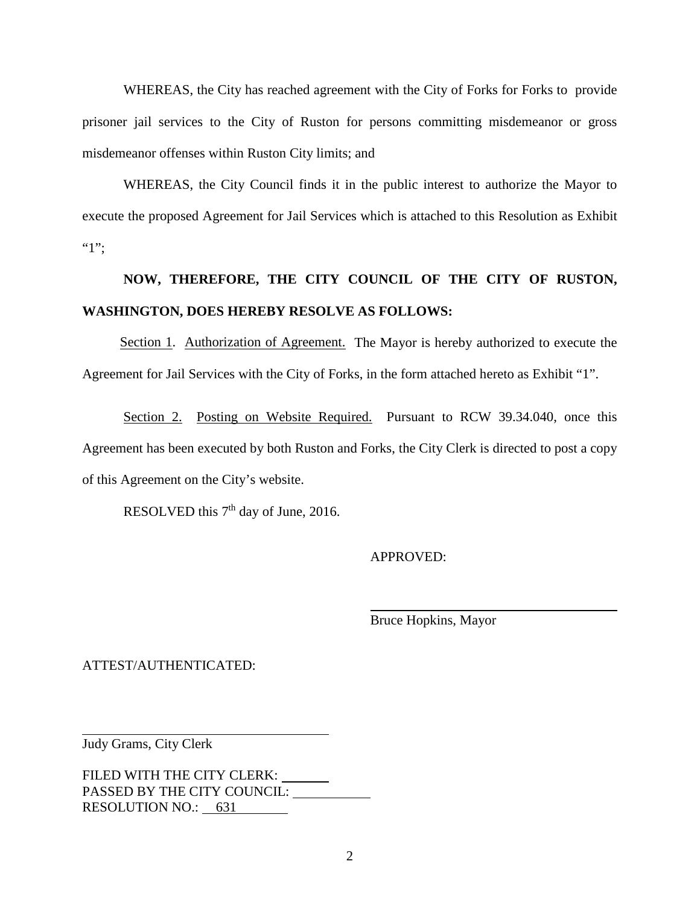WHEREAS, the City has reached agreement with the City of Forks for Forks to provide prisoner jail services to the City of Ruston for persons committing misdemeanor or gross misdemeanor offenses within Ruston City limits; and

WHEREAS, the City Council finds it in the public interest to authorize the Mayor to execute the proposed Agreement for Jail Services which is attached to this Resolution as Exhibit ":<sup>"</sup>

# **NOW, THEREFORE, THE CITY COUNCIL OF THE CITY OF RUSTON, WASHINGTON, DOES HEREBY RESOLVE AS FOLLOWS:**

Section 1. Authorization of Agreement. The Mayor is hereby authorized to execute the Agreement for Jail Services with the City of Forks, in the form attached hereto as Exhibit "1".

Section 2. Posting on Website Required. Pursuant to RCW 39.34.040, once this Agreement has been executed by both Ruston and Forks, the City Clerk is directed to post a copy of this Agreement on the City's website.

RESOLVED this 7<sup>th</sup> day of June, 2016.

APPROVED:

Bruce Hopkins, Mayor

ATTEST/AUTHENTICATED:

Judy Grams, City Clerk

FILED WITH THE CITY CLERK: \_\_\_\_\_\_ PASSED BY THE CITY COUNCIL:  $\frac{1}{\sqrt{1-\frac{1}{\sqrt{1-\frac{1}{\sqrt{1-\frac{1}{\sqrt{1-\frac{1}{\sqrt{1-\frac{1}{\sqrt{1-\frac{1}{\sqrt{1-\frac{1}{\sqrt{1-\frac{1}{\sqrt{1-\frac{1}{\sqrt{1-\frac{1}{\sqrt{1-\frac{1}{\sqrt{1-\frac{1}{\sqrt{1-\frac{1}{\sqrt{1-\frac{1}{\sqrt{1-\frac{1}{\sqrt{1-\frac{1}{\sqrt{1-\frac{1}{\sqrt{1-\frac{1}{\sqrt{1-\frac{1}{\sqrt{1-\frac{1}{\sqrt{1-\frac{1$ RESOLUTION NO.: 631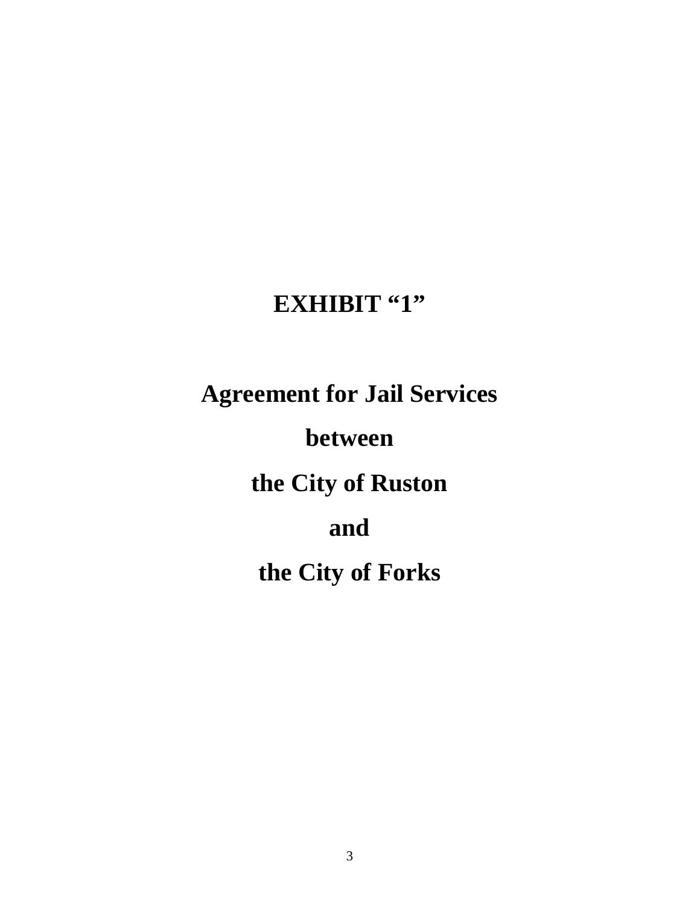# **EXHIBIT "1"**

**Agreement for Jail Services**

**between** 

**the City of Ruston** 

**and** 

**the City of Forks**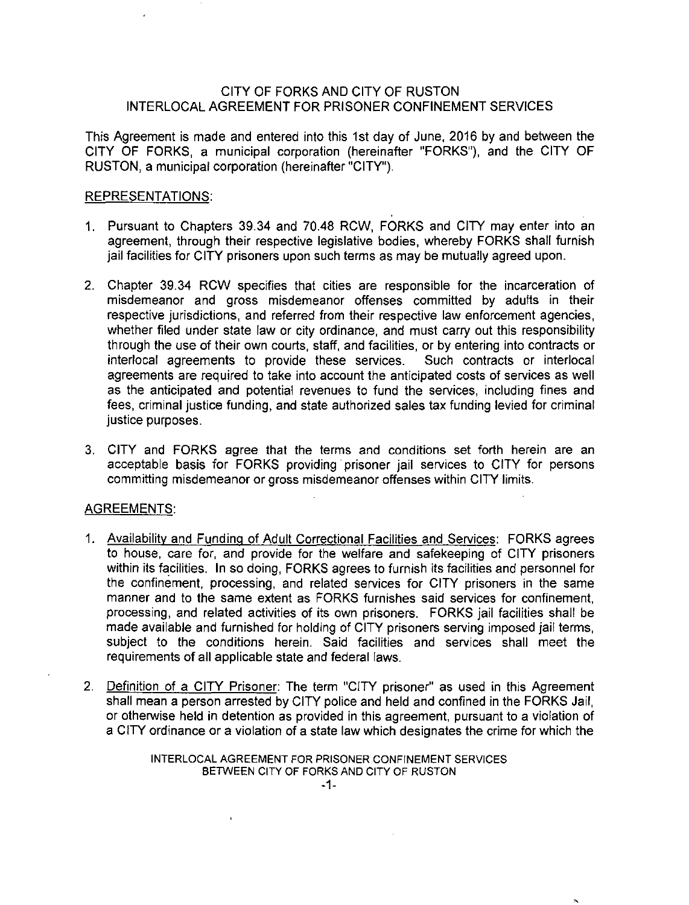### CITY OF FORKS AND CITY OF RUSTON INTERLOCAL AGREEMENT FOR PRISONER CONFINEMENT SERVICES

This Agreement is made and entered into this 1st day of June, 2016 by and between the CITY OF FORKS, a municipal corporation (hereinafter "FORKS"), and the CITY OF RUSTON, a municipal corporation (hereinafter "CITY").

### REPRESENTATIONS:

- 1. Pursuant to Chapters 39.34 and 70.48 RCW, FORKS and CITY may enter into an agreement, through their respective legislative bodies, whereby FORKS shall furnish jail facilities for CITY prisoners upon such terms as may be mutually agreed upon.
- 2. Chapter 39.34 RCW specifies that cities are responsible for the incarceration of misdemeanor and gross misdemeanor offenses committed by adults in their respective jurisdictions, and referred from their respective law enforcement agencies, whether filed under state law or city ordinance, and must carry out this responsibility through the use of their own courts, staff, and facilities, or by entering into contracts or interlocal agreements to provide these services. Such contracts or interlocal agreements are required to take into account the anticipated costs of services as well as the anticipated and potential revenues to fund the services, including fines and fees, criminal justice funding, and state authorized sales tax funding levied for criminal justice purposes.
- 3. CITY and FORKS agree that the terms and conditions set forth herein are an acceptable basis for FORKS providing· prisoner jail services to CITY for persons committing misdemeanor or gross misdemeanor offenses within CITY limits.

### AGREEMENTS:

- 1. Availability and Funding of Adult Correctional Facilities and Services: FORKS agrees to house, care for, and provide for the welfare and safekeeping of CITY prisoners within its facilities. In so doing, FORKS agrees to furnish its facilities and personnel for the confinement, processing, and related services for CITY prisoners in the same manner and to the same extent as FORKS furnishes said services for confinement, processing, and related activities of its own prisoners. FORKS jail facilities shall be made available and furnished for holding of CITY prisoners serving imposed jail terms, subject to the conditions herein. Said facilities and services shall meet the requirements of all applicable state and federal laws.
- 2. Definition of a CITY Prisoner: The term "CITY prisoner" as used in this Agreement shall mean a person arrested by CITY police and held and confined in the FORKS Jail, or otherwise held in detention as provided in this agreement, pursuant to a violation of a CITY ordinance or a violation of a state law which designates the crime for which the

INTER LOCAL AGREEMENT FOR PRISONER CONFINEMENT SERVICES BETWEEN CITY OF FORKS AND CITY OF RUSTON

 $\mathbf{I}$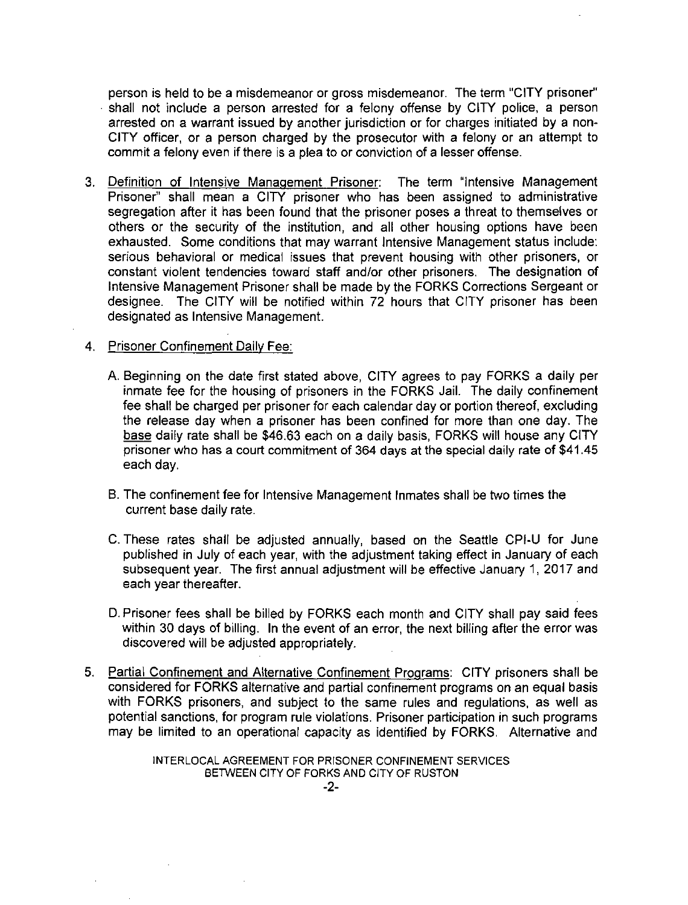person is held to be a misdemeanor or gross misdemeanor. The term "CITY prisoner'' · shall not include a person arrested for a felony offense by CITY police, a person arrested on a warrant issued by another jurisdiction or for charges initiated by a non-CITY officer, or a person charged by the prosecutor with a felony or an attempt to commit a felony even if there is a plea to or conviction of a lesser offense.

3. Definition of Intensive Management Prisoner: The term "Intensive Management Prisoner" shall mean a CITY prisoner who has been assigned to administrative segregation after it has been found that the prisoner poses a threat to themselves or others or the security of the institution, and all other housing options have been exhausted. Some conditions that may warrant Intensive Management status include: serious behavioral or medical issues that prevent housing with other prisoners, or constant violent tendencies toward staff and/or other prisoners. The designation of Intensive Management Prisoner shall be made by the FORKS Corrections Sergeant or designee. The CITY will be notified within 72 hours that CITY prisoner has been designated as Intensive Management.

#### 4. Prisoner Confinement Daily Fee:

- A. Beginning on the date first stated above, CITY agrees to pay FORKS a daily per inmate fee for the housing of prisoners in the FORKS Jail. The daily confinement fee shall be charged per prisoner for each calendar day or portion thereof, excluding the release day when a prisoner has been confined for more than one day. The base daily rate shall be \$46.63 each on a daily basis, FORKS will house any CITY prisoner who has a court commitment of 364 days at the special daily rate of \$41.45 each day.
- B. The confinement fee for Intensive Management Inmates shall be two times the current base daily rate.
- C. These rates shall be adjusted annually, based on the Seattle CPl-U for June published in July of each year, with the adjustment taking effect in January of each subsequent year. The first annual adjustment will be effective January 1, 2017 and each year thereafter.
- D. Prisoner fees shall be billed by FORKS each month and CITY shall pay said fees within 30 days of billing. In the event of an error, the next billing after the error was discovered will be adjusted appropriately.
- 5. Partial Confinement and Alternative Confinement Programs: CITY prisoners shall be considered for FORKS alternative and partial confinement programs on an equal basis with FORKS prisoners, and subject to the same rules and regulations, as well as potential sanctions, for program rule violations. Prisoner participation in such programs may be limited to an operational capacity as identified by FORKS. Alternative and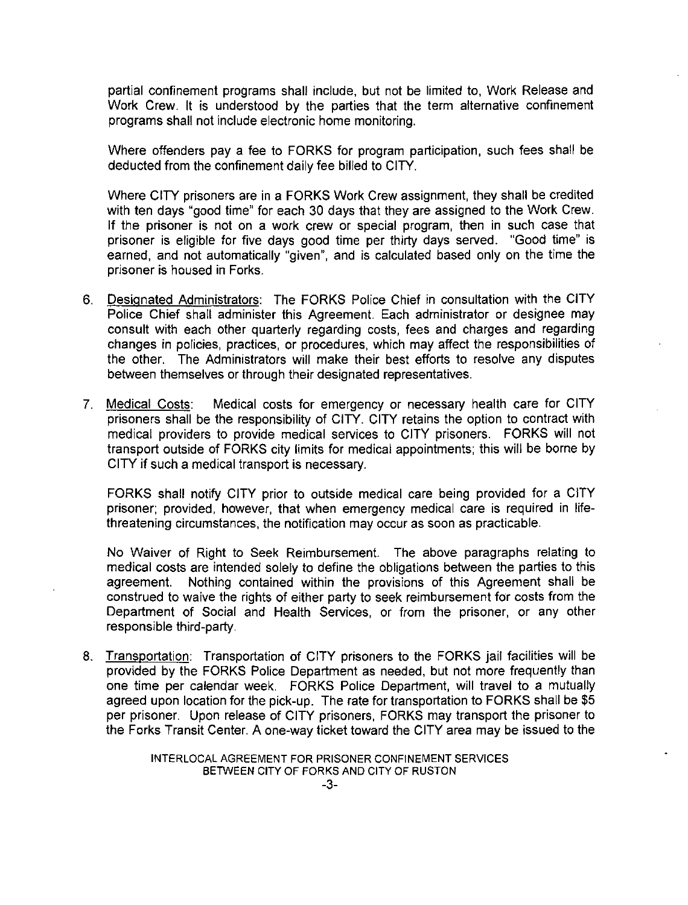partial confinement programs shall include, but not be limited to, Work Release and Work Crew. It is understood by the parties that the term alternative confinement programs shall not include electronic home monitoring.

Where offenders pay a fee to FORKS for program participation, such fees shall be deducted from the confinement daily fee billed to CITY.

Where CITY prisoners are in a FORKS Work Crew assignment, they shall be credited with ten days "good time" for each 30 days that they are assigned to the Work Crew. If the prisoner is not on a work crew or special program, then in such case that prisoner is eligible for five days good time per thirty days served. "Good time" is earned, and not automatically "given'', and is calculated based only on the time the prisoner is housed in Forks.

- 6. Designated Administrators: The FORKS Police Chief in consultation with the CITY Police Chief shall administer this Agreement. Each administrator or designee may consult with each other quarterly regarding costs, fees and charges and regarding changes in policies, practices, or procedures, which may affect the responsibilities of the other. The Administrators will make their best efforts to resolve any disputes between themselves or through their designated representatives.
- 7. Medical Costs: Medical costs for emergency or necessary health care for CITY prisoners shall be the responsibility of CITY. CITY retains the option to contract with medical providers to provide medical services to CITY prisoners. FORKS will not transport outside of FORKS city limits for medical appointments: this will be borne by CITY if such a medical transport is necessary.

FORKS shall notify CITY prior to outside medical care being provided for a CITY prisoner: provided, however, that when emergency medical care is required in lifethreatening circumstances, the notification may occur as soon as practicable.

No Waiver of Right to Seek Reimbursement. The above paragraphs relating to medical costs are intended solely to define the obligations between the parties to this agreement. Nothing contained within the provisions of this Agreement shall be construed to waive the rights of either party to seek reimbursement for costs from the Department of Social and Health Services, or from the prisoner, or any other responsible third-party.

8. Transportation: Transportation of CITY prisoners to the FORKS jail facilities will be provided by the FORKS Police Department as needed, but not more frequently than one time per calendar week. FORKS Police Department, will travel to a mutually agreed upon location for the pick-up. The rate for transportation to FORKS shall be \$5 per prisoner. Upon release of CITY prisoners, FORKS may transport the prisoner to the Forks Transit Center. A one-way ticket toward the CITY area may be issued to the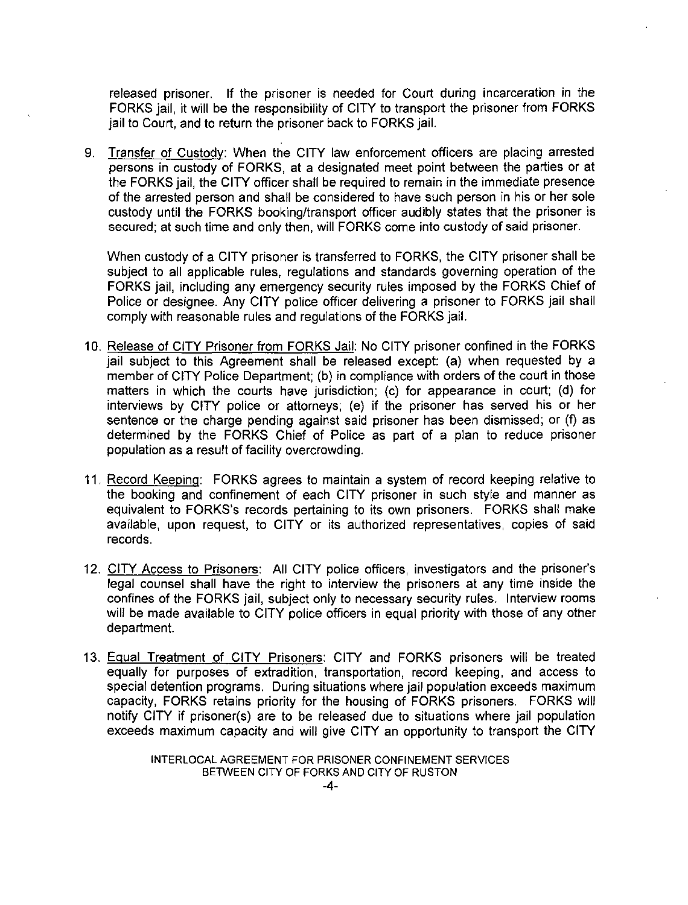released prisoner. If the prisoner is needed for Court during incarceration in the FORKS jail, it will be the responsibility of CITY to transport the prisoner from FORKS jail to Court, and to return the prisoner back to FORKS jail.

9. Transfer of Custody: When the CITY law enforcement officers are placing arrested persons in custody of FORKS, at a designated meet point between the parties or at the FORKS jail, the CITY officer shall be required to remain in the immediate presence of the arrested person and shall be considered to have such person in his or her sole custody until the FORKS booking/transport officer audibly states that the prisoner is secured; at such time and only then, will FORKS come into custody of said prisoner.

When custody of a CITY prisoner is transferred to FORKS, the CITY prisoner shall be subject to all applicable rules, regulations and standards governing operation of the FORKS jail, including any emergency security rules imposed by the FORKS Chief of Police or designee. Any CITY police officer delivering a prisoner to FORKS jail shall comply with reasonable rules and regulations of the FORKS jail.

- 10. Release of CITY Prisoner from FORKS Jail: No CITY prisoner confined in the FORKS jail subject to this Agreement shall be released except: (a) when requested by a member of CITY Police Department; (b) in compliance with orders of the court in those matters in which the courts have jurisdiction; (c) for appearance in court; (d) for interviews by CITY police or attorneys; (e) if the prisoner has served his or her sentence or the charge pending against said prisoner has been dismissed; or (f) as determined by the FORKS Chief of Police as part of a plan to reduce prisoner population as a result of facility overcrowding.
- 11. Record Keeping: FORKS agrees to maintain a system of record keeping relative to the booking and confinement of each CITY prisoner in such style and manner as equivalent to FORKS's records pertaining to its own prisoners. FORKS shall make available, upon request, to CITY or its authorized representatives, copies of said records.
- 12. CITY Access to Prisoners: All CITY police officers, investigators and the prisoner's legal counsel shall have the right to interview the prisoners at any time inside the confines of the FORKS jail, subject only to necessary security rules. Interview rooms will be made available to CITY police officers in equal priority with those of any other department.
- 13. Equal Treatment of CITY Prisoners: CITY and FORKS prisoners will be treated equally for purposes of extradition, transportation, record keeping, and access to special detention programs. During situations where jail population exceeds maximum capacity, FORKS retains priority for the housing of FORKS prisoners. FORKS will notify CITY if prisoner(s) are to be released due to situations where jail population exceeds maximum capacity and will give CITY an opportunity to transport the CITY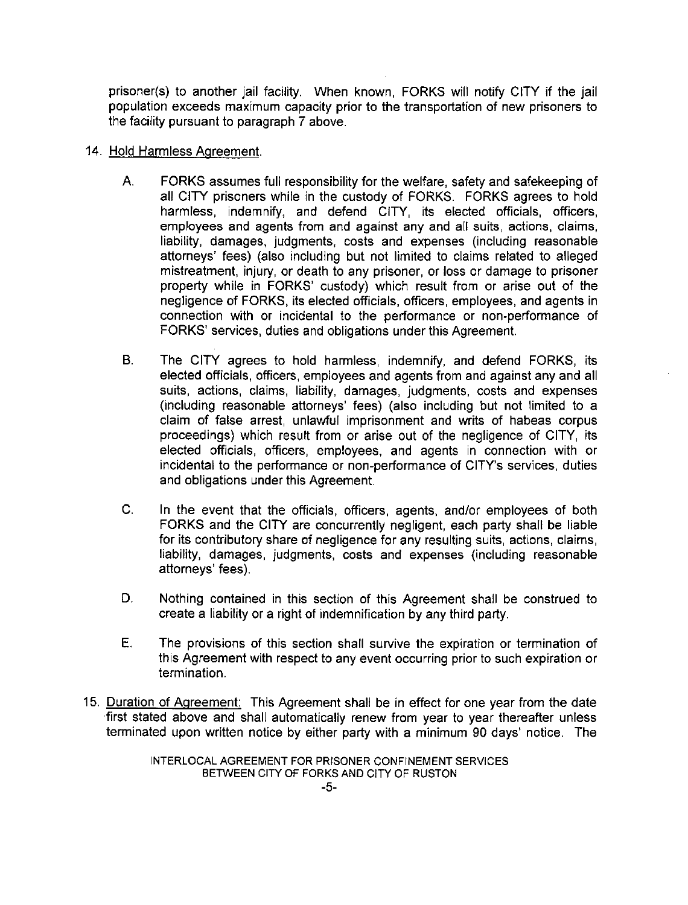prisoner(s) to another jail facility. When known, FORKS will notify CITY if the jail population exceeds maximum capacity prior to the transportation of new prisoners to the facility pursuant to paragraph 7 above.

### 14. Hold Harmless Agreement.

- A. FORKS assumes full responsibility for the welfare, safety and safekeeping of all CITY prisoners while in the custody of FORKS. FORKS agrees to hold harmless, indemnify, and defend CITY, its elected officials, officers, employees and agents from and against any and all suits, actions, claims, liability, damages, judgments, costs and expenses (including reasonable attorneys' fees) (also including but not limited to claims related to alleged mistreatment, injury, or death to any prisoner, or loss or damage to prisoner property while in FORKS' custody) which result from or arise out of the negligence of FORKS, its elected officials, officers, employees, and agents in connection with or incidental to the performance or non-performance of FORKS' services, duties and obligations under this Agreement.
- B. The CITY agrees to hold harmless, indemnify, and defend FORKS, its elected officials, officers, employees and agents from and against any and all suits, actions, claims, liability, damages, judgments, costs and expenses (including reasonable attorneys' fees) (also including but not limited to a claim of false arrest, unlawful imprisonment and writs of habeas corpus proceedings) which result from or arise out of the negligence of CITY, its elected officials, officers, employees, and agents in connection with or incidental to the performance or non-performance of CITY's services, duties and obligations under this Agreement.
- C. In the event that the officials, officers, agents, and/or employees of both FORKS and the CITY are concurrently negligent, each party shall be liable for its contributory share of negligence for any resulting suits, actions, claims, liability, damages, judgments, costs and expenses (including reasonable attorneys' fees).
- D. Nothing contained in this section of this Agreement shall be construed to create a liability or a right of indemnification by any third party.
- E. The provisions of this section shall survive the expiration or termination of this Agreement with respect to any event occurring prior to such expiration or termination.
- 15. Duration of Agreement: This Agreement shall be in effect for one year from the date ·first stated above and shall automatically renew from year to year thereafter unless terminated upon written notice by either party with a minimum 90 days' notice. The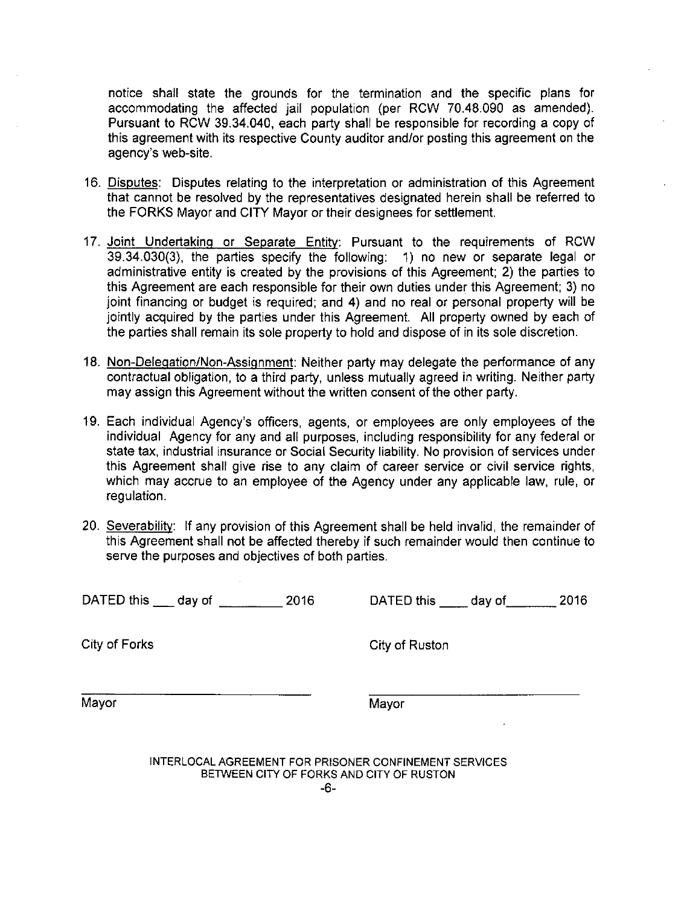notice shall state the grounds for the termination and the specific plans for accommodating the affected jail population (per RCW 70.48.090 as amended). Pursuant to RCW 39.34.040, each party shall be responsible for recording a copy of this agreement with its respective County auditor and/or posting this agreement on the agency's web-site.

- 16. Disputes: Disputes relating to the interpretation or administration of this Agreement that cannot be resolved by the representatives designated herein shall be referred to the FORKS Mayor and CITY Mayor or their designees for settlement.
- 17. Joint Undertaking or Separate Entity: Pursuant to the requirements of RCW 39.34.030(3), the parties specify the following: 1) no new or separate legal or administrative entity is created by the provisions of this Agreement; 2) the parties to this Agreement are each responsible for their own duties under this Agreement; 3) no joint financing or budget is required; and 4) and no real or personal property will be jointly acquired by the parties under this Agreement. All property owned by each of the parties shall remain its sole property to hold and dispose of in its sole discretion.
- 18. Non-Delegation/Non-Assignment: Neither party may delegate the performance of any contractual obligation, to a third party, unless mutually agreed in writing. Neither party may assign this Agreement without the written consent of the other party.
- 19. Each individual Agency's officers, agents, or employees are only employees of the individual Agency for any and all purposes, including responsibility for any federal or state tax, industrial insurance or Social Security liability. No provision of services under this Agreement shall give rise to any claim of career service or civil service rights, which may accrue to an employee of the Agency under any applicable law, rule, or regulation.
- 20. Severability: If any provision of this Agreement shall be held invalid, the remainder of this Agreement shall not be affected thereby if such remainder would then continue to serve the purposes and objectives of both parties.

DATED this \_\_\_ day of \_\_\_ \_\_\_ 2016 DATED this \_\_\_ day of \_\_\_\_\_\_ 2016

**City of Forks** City of Ruston

Mayor Mayor Mayor Mayor Mayor Mayor Mayor Mayor Mayor Mayor Mayor Mayor Mayor Mayor Mayor Mayor Mayor Mayor Ma

INTERLOCAL AGREEMENT FOR PRISONER CONFINEMENT SERVICES BETWEEN CITY OF FORKS AND CITY OF RUSTON